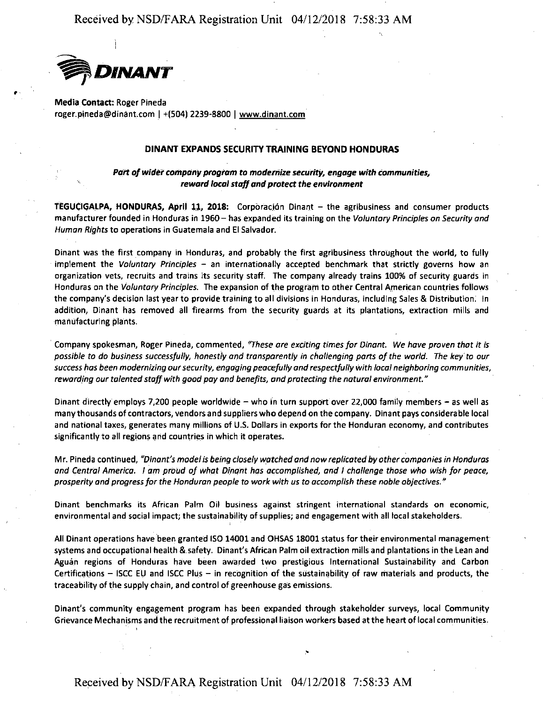

•

**Media Contact:** Roger Pineda roger.pineda@dinant.com I +(504) 2239·8800 I www.dinant.com

## **DINANT EXPANDS SECURITY TRAINING BEYOND HONDURAS**

## *Part of wider company program to modernize security, engage with communities, reward local staff and protect the environment*

**TEGUCIGALPA, HONDURAS, April 11, 2018:** Corporaci6n Dinant - the agribusiness and consumer products manufacturer founded in Honduras in 1960- has expanded its training on the *Voluntary Principles on Security and Human Rights* to operations in Guatemala and El Salvador.

Dinant was the first company in Honduras, and probably the first agribusiness throughout the world, to fully implement the *Voluntary Principles* - an internationally accepted benchmark that strictly governs how an organization vets, recruits and trains its security staff. The company already trains 100% of security guards in Honduras on the *Voluntary Principles.* The expansion of the program to other Central A\_merican count\_ries follows the company's decision last year to provide training to all divisions in Honduras, including Sales & Distribution: In addition, Dinant has removed all firearms from the security guards at its plantations, extraction mills and manufacturing plants.

' Company spokesman, Roger Pineda, commented, *"These are exciting times for Dinont. We hove proven thot it is possible to do business successfully, honestly ond transparently in challenging ports of the world. The key to our*  success has been modernizing our security, engaging peacefully and respectfully with local neighboring communities, rewarding our talented staff with good pay and benefits, and protecting the natural environment."

Dinant directly employs 7,200 people worldwide - who in turn support over 22,000 family members - as well as many thousands of contractors, vendors and suppliers who depend on the company. Din ant.pays considerable local and national taxes, generates many millions of U.S. Dollars in exports for the Honduran economy, and contributes significantly to all regions arid countries in which it operates.

Mr. Pineda continued, *"Dinant's model is being closely watched and* now *replicated by other companies in Honduras and Central America.* I *am proud of what Dinant has accomplished, and I challenge those who wish for peace, prosperity and progress for the Honduran people to work with us to accomplish these noble objectives."* 

Dinant benchmarks its African Palm Oil business against stringent international standards on economic, environmental and social impact; the sustainability of supplies; and engagement with all local stakeholders.

All Dinant operations have been granted ISO 14001 and OHSAS 18001 status for their environmental management systems and occupational health & safety. Dinant's African Palm oil extraction mills and plantations in the Lean and Aguan regions of Honduras have been awarded two prestigious International Sustainability and Carbon Certifications - ISCC EU and ISCC Plus - in recognition of the sustainability of raw materials and products, the traceability of the supply chain, and control of greenhouse gas emissions.

Dinant's community engagement program has been expanded through stakeholder surveys, local Community Grievance Mechanisms and the recruitment of professional liaison workers based at the heart of local communities.

'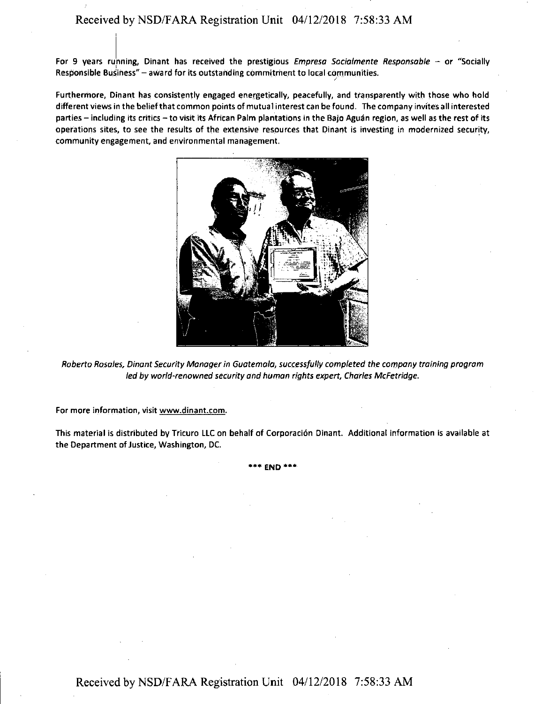For 9 years running, Dinant has received the prestigious *Empresa Socialmente Responsable –* or "Socially Responsible Business" - award for its outstanding commitment to local communities.

 $\overline{a}$ 

Furthermore, Dinant has consistently engaged energetically, peacefully, and transparently with those who hold different views in the belief that common points of mutual interest can be found. The company invites all interested parties - including its critics - to visit its African Palm plantations in the Bajo Aguán region, as well as the rest of its operations sites, to see the results of the extensive resources that Dinant is investing in modernized security, community engagement, and environmental management.



Roberto Rosales, Dinant Security Manager in Guatemala, successfully completed the company training program led by world-renowned security and human rights expert, Charles Mcfetridge.

**For more information, visit www.dinant.com.** 

'

This material is distributed by Tricuro LLC on behalf of Corporaci6n Dinant. Additional information is available at the Department of Justice, Washington, DC.

**•••END\*\*\***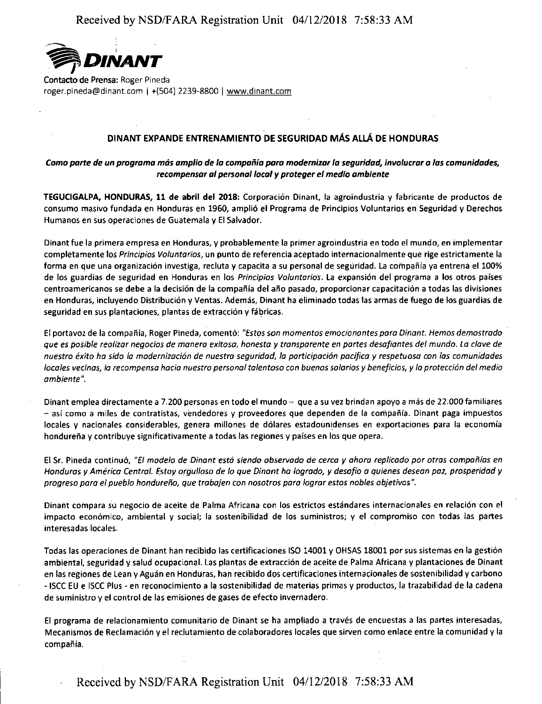

Contacto de Prensa: Roger Pineda roger.pineda@dinant.com I +(504) 2239-8800 I www.dinant.com

## DINANT EXPANDE ENTRENAMIENTO DE SEGURIDAD MAS ALLA DE HONDURAS

## Como parte de un programa más amplio de la compañía para modernizar la seguridad, involucrar a las comunidades, **recompensor ol personal loco/** *y* **proteger el media ombiente**

**TEGUCIGALPA, HONDURAS, 11 de abril del 2018:** Corporacion Dinant, la agroindustria y fabricante de productos de consumo masivo fundada en Honduras en 1960, ampli6 el Programa de Principios Voluntarios en Seguridad y Derechos Humanos en sus operaciones de Guatemala y El Salvador.

Dinantfue la primera empresa en Honduras, y probablemente la primer agroindustria en todo el mundo, en implementar completamente las *Principios Voluntarios,* un punto de referencia aceptado internacionalmente que rige estrictamente la forma en que una organización investiga, recluta y capacita a su personal de seguridad. La compañía ya entrena el 100% de las guardias de seguridad en Honduras en las *Principios Voluntarios.* La expansion del programa a las otros paises centroamericanos se debe a la decisión de la compañía del año pasado, proporcionar capacitación a todas las divisiones en Honduras, incluyendo Distribucion y Ventas. Ademas, Dinant ha eliminado todas las armas de fuego de los guardias de seguridad en sus plantaciones, plantas de extracción y fábricas.

El portavoz de la compaiiia, Roger Pineda, cementa: *"Estos son momentos emocionantes para Dinant. Hemos demostrado que es posible realizar negocios de manera exitosa, honesta* y *transparente en partes desafiantes de/ mundo. La clave de nuestro exito ha sido la modernizaci6n de nuestra seguridad, la participaci6n pacifica* y *respetuosa con las comunidades locales vecinas, la recompensa hacia nuestro personal talentoso con buenos salarios y beneficios, y la protección del medio* **ambiente".** 

Dinant emplea directamente a 7.200 personas en todo el mundo  $-$  que a su vez brindan apoyo a más de 22.000 familiares  $-$ así como a miles de contratistas, vendedores y proveedores que dependen de la compañía. Dinant paga impuestos locales y nacionales considerables, genera millones de dólares estadounidenses en exportaciones para la economía hondureña y contribuye significativamente a todas las regiones y países en los que opera.

El Sr. Pineda continua, *"El modelo de Dinant estd siendo observado de cerca y ahora replicado par otras campanias en Honduras y America Central. Estoy argulloso de lo que Dinont ha logrado, y desafio a quienes desean paz, prosperidad y progreso para el pueblo hondureiio, que trabajen con nosotros para lograr estos nobles objetivos".* 

Dinant compara su negocio de aceite de Palma Africana con los estrictos estándares internacionales en relación con el impacto econ6mico, ambiental y social; la sostenibilidad de las suministros; y el compromise con todas las partes interesadas locales.

Todas las operaciones de Dinant han recibido las certificaciones ISO 14001 y OHSAS 18001 por sus sistemas en la gestión ambiental, seguridad y salud ocupacional. Las plantas de extracción de aceite de Palma Africana y plantaciones de Dinant en las regiones de Lean y Aguán en Honduras, han recibido dos certificaciones internacionales de sostenibilidad y carbono - ISCC EU e ISCC Plus - en reconocimiento a la sostenibilidad de materias primas y productos, la trazabilidad de la cadena de suministro y el control de las emisiones de gases de efecfo invernadero.

El programa de relacionamiento comunitario de Dinant se ha ampliado a través de encuestas a las partes interesadas, Mecanismos de Reclamación y el reclutamiento de colaboradores locales que sirven como enlace entre la comunidad y la compañía.

Received by NSD/FARA Registration Unit 04/12/2018 7:58:33 AM